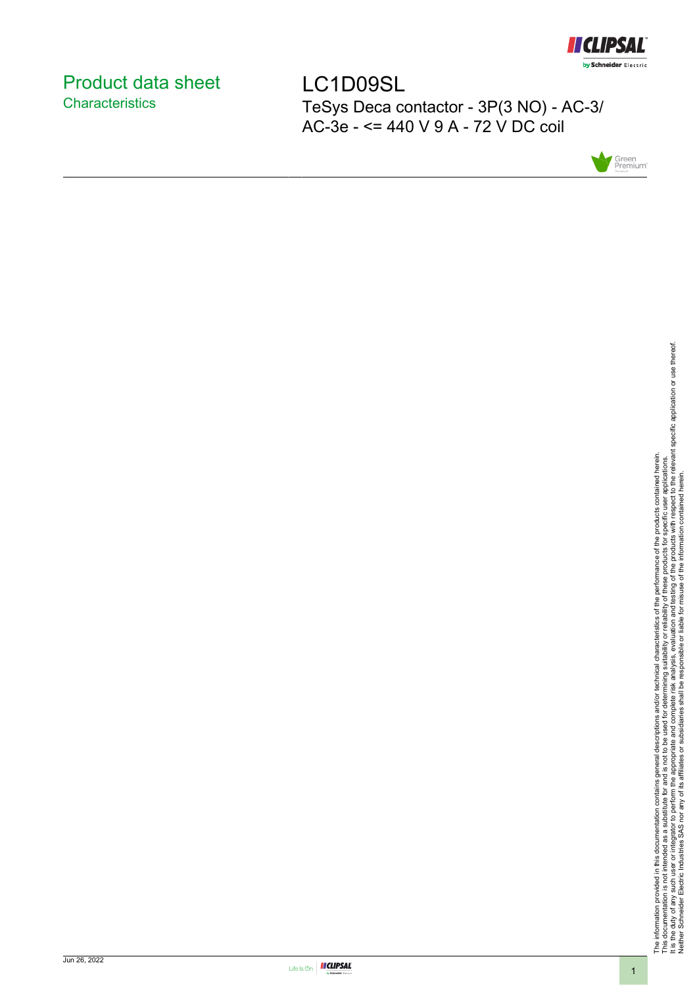

# <span id="page-0-0"></span>Product data sheet **Characteristics**

LC1D09SL TeSys Deca contactor - 3P(3 NO) - AC-3/ AC-3e - <= 440 V 9 A - 72 V DC coil



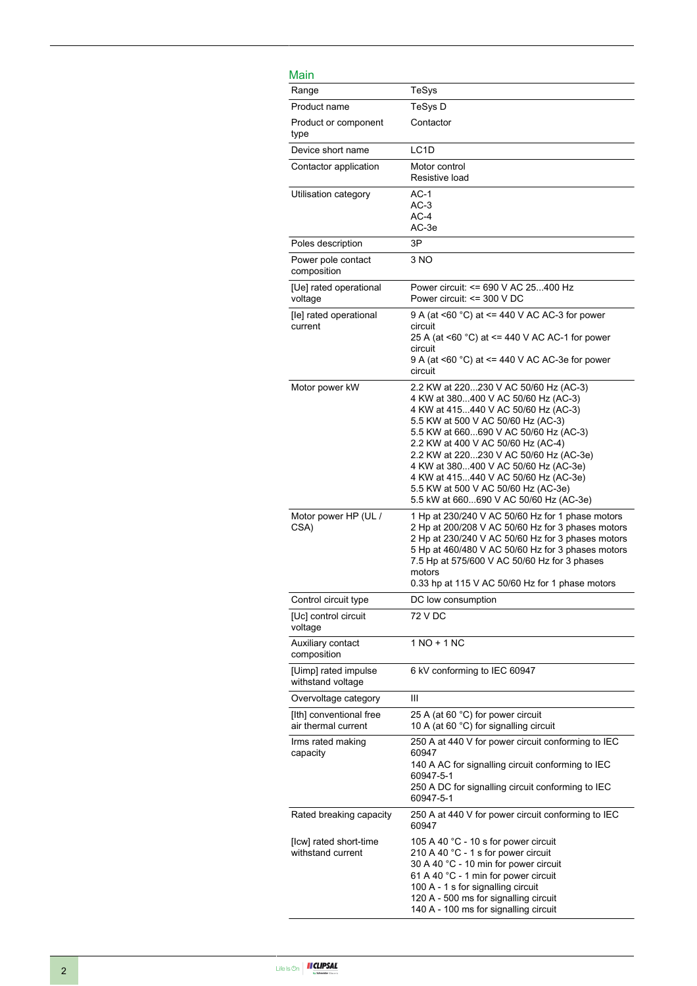## Main

| <u>Main</u>                                    |                                                                                                                                                                                                                                                                                                                                                                                                                                                     |
|------------------------------------------------|-----------------------------------------------------------------------------------------------------------------------------------------------------------------------------------------------------------------------------------------------------------------------------------------------------------------------------------------------------------------------------------------------------------------------------------------------------|
| Range                                          | TeSys                                                                                                                                                                                                                                                                                                                                                                                                                                               |
| Product name                                   | TeSys D                                                                                                                                                                                                                                                                                                                                                                                                                                             |
| Product or component<br>type                   | Contactor                                                                                                                                                                                                                                                                                                                                                                                                                                           |
| Device short name                              | LC <sub>1</sub> D                                                                                                                                                                                                                                                                                                                                                                                                                                   |
| Contactor application                          | Motor control<br>Resistive load                                                                                                                                                                                                                                                                                                                                                                                                                     |
| Utilisation category                           | $AC-1$<br>$AC-3$<br>$AC-4$<br>AC-3e                                                                                                                                                                                                                                                                                                                                                                                                                 |
| Poles description                              | 3P                                                                                                                                                                                                                                                                                                                                                                                                                                                  |
| Power pole contact<br>composition              | 3 NO                                                                                                                                                                                                                                                                                                                                                                                                                                                |
| [Ue] rated operational<br>voltage              | Power circuit: <= 690 V AC 25400 Hz<br>Power circuit: <= 300 V DC                                                                                                                                                                                                                                                                                                                                                                                   |
| [le] rated operational<br>current              | 9 A (at <60 °C) at <= 440 V AC AC-3 for power<br>circuit<br>25 A (at <60 °C) at <= 440 V AC AC-1 for power<br>circuit<br>9 A (at $\leq 60$ °C) at $\leq$ 440 V AC AC-3e for power<br>circuit                                                                                                                                                                                                                                                        |
| Motor power kW                                 | 2.2 KW at 220230 V AC 50/60 Hz (AC-3)<br>4 KW at 380400 V AC 50/60 Hz (AC-3)<br>4 KW at 415440 V AC 50/60 Hz (AC-3)<br>5.5 KW at 500 V AC 50/60 Hz (AC-3)<br>5.5 KW at 660690 V AC 50/60 Hz (AC-3)<br>2.2 KW at 400 V AC 50/60 Hz (AC-4)<br>2.2 KW at 220230 V AC 50/60 Hz (AC-3e)<br>4 KW at 380400 V AC 50/60 Hz (AC-3e)<br>4 KW at 415440 V AC 50/60 Hz (AC-3e)<br>5.5 KW at 500 V AC 50/60 Hz (AC-3e)<br>5.5 kW at 660690 V AC 50/60 Hz (AC-3e) |
| Motor power HP (UL /<br>CSA)                   | 1 Hp at 230/240 V AC 50/60 Hz for 1 phase motors<br>2 Hp at 200/208 V AC 50/60 Hz for 3 phases motors<br>2 Hp at 230/240 V AC 50/60 Hz for 3 phases motors<br>5 Hp at 460/480 V AC 50/60 Hz for 3 phases motors<br>7.5 Hp at 575/600 V AC 50/60 Hz for 3 phases<br>motors<br>0.33 hp at 115 V AC 50/60 Hz for 1 phase motors                                                                                                                        |
| Control circuit type                           | DC low consumption                                                                                                                                                                                                                                                                                                                                                                                                                                  |
| [Uc] control circuit<br>voltage                | 72 V DC                                                                                                                                                                                                                                                                                                                                                                                                                                             |
| Auxiliary contact<br>composition               | $1 NQ + 1 NC$                                                                                                                                                                                                                                                                                                                                                                                                                                       |
| [Uimp] rated impulse<br>withstand voltage      | 6 kV conforming to IEC 60947                                                                                                                                                                                                                                                                                                                                                                                                                        |
| Overvoltage category                           | Ш                                                                                                                                                                                                                                                                                                                                                                                                                                                   |
| [Ith] conventional free<br>air thermal current | 25 A (at 60 °C) for power circuit<br>10 A (at 60 °C) for signalling circuit                                                                                                                                                                                                                                                                                                                                                                         |
| Irms rated making<br>capacity                  | 250 A at 440 V for power circuit conforming to IEC<br>60947<br>140 A AC for signalling circuit conforming to IEC<br>60947-5-1<br>250 A DC for signalling circuit conforming to IEC<br>60947-5-1                                                                                                                                                                                                                                                     |
| Rated breaking capacity                        | 250 A at 440 V for power circuit conforming to IEC<br>60947                                                                                                                                                                                                                                                                                                                                                                                         |
| [Icw] rated short-time<br>withstand current    | 105 A 40 °C - 10 s for power circuit<br>210 A 40 °C - 1 s for power circuit<br>30 A 40 °C - 10 min for power circuit<br>61 A 40 °C - 1 min for power circuit<br>100 A - 1 s for signalling circuit<br>120 A - 500 ms for signalling circuit<br>140 A - 100 ms for signalling circuit                                                                                                                                                                |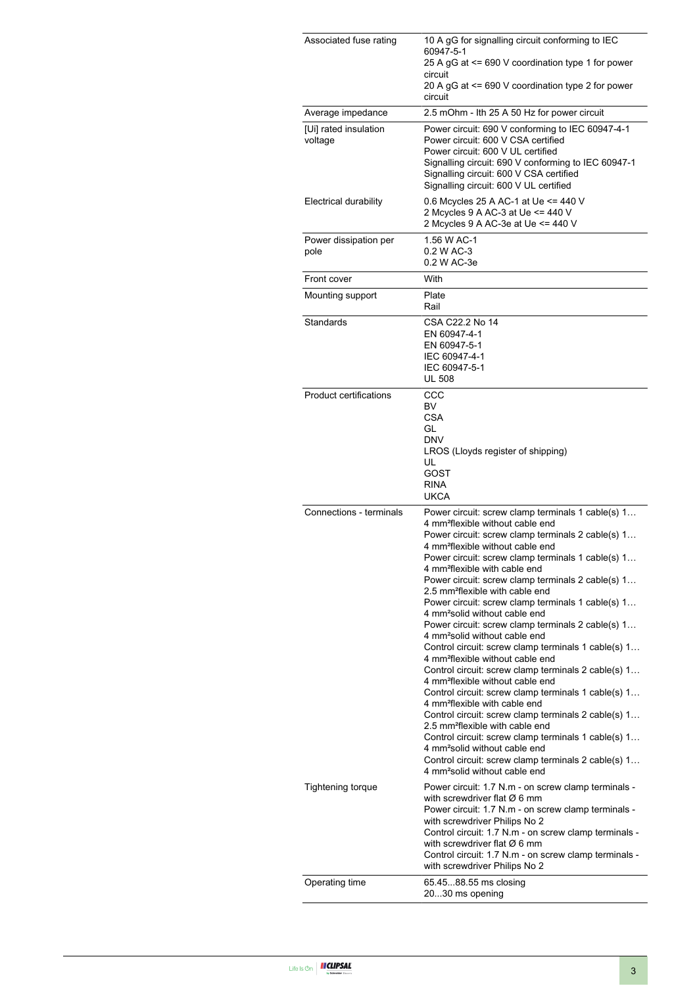| Associated fuse rating           | 10 A gG for signalling circuit conforming to IEC<br>60947-5-1<br>25 A gG at <= 690 V coordination type 1 for power<br>circuit<br>20 A gG at $\leq$ 690 V coordination type 2 for power<br>circuit                                                                                                                                                                                                                                                                                                                                                                                                                                                                                                                                                                                                                                                                                                                                                                                                                                                                                                                                                                                                                                                |
|----------------------------------|--------------------------------------------------------------------------------------------------------------------------------------------------------------------------------------------------------------------------------------------------------------------------------------------------------------------------------------------------------------------------------------------------------------------------------------------------------------------------------------------------------------------------------------------------------------------------------------------------------------------------------------------------------------------------------------------------------------------------------------------------------------------------------------------------------------------------------------------------------------------------------------------------------------------------------------------------------------------------------------------------------------------------------------------------------------------------------------------------------------------------------------------------------------------------------------------------------------------------------------------------|
| Average impedance                | 2.5 mOhm - Ith 25 A 50 Hz for power circuit                                                                                                                                                                                                                                                                                                                                                                                                                                                                                                                                                                                                                                                                                                                                                                                                                                                                                                                                                                                                                                                                                                                                                                                                      |
| [Ui] rated insulation<br>voltage | Power circuit: 690 V conforming to IEC 60947-4-1<br>Power circuit: 600 V CSA certified<br>Power circuit: 600 V UL certified<br>Signalling circuit: 690 V conforming to IEC 60947-1<br>Signalling circuit: 600 V CSA certified<br>Signalling circuit: 600 V UL certified                                                                                                                                                                                                                                                                                                                                                                                                                                                                                                                                                                                                                                                                                                                                                                                                                                                                                                                                                                          |
| Electrical durability            | 0.6 Mcycles 25 A AC-1 at Ue <= 440 V<br>2 Mcycles 9 A AC-3 at Ue <= 440 V<br>2 Mcycles 9 A AC-3e at Ue <= 440 V                                                                                                                                                                                                                                                                                                                                                                                                                                                                                                                                                                                                                                                                                                                                                                                                                                                                                                                                                                                                                                                                                                                                  |
| Power dissipation per<br>pole    | 1.56 W AC-1<br>0.2 W AC-3<br>0.2 W AC-3e                                                                                                                                                                                                                                                                                                                                                                                                                                                                                                                                                                                                                                                                                                                                                                                                                                                                                                                                                                                                                                                                                                                                                                                                         |
| Front cover                      | With                                                                                                                                                                                                                                                                                                                                                                                                                                                                                                                                                                                                                                                                                                                                                                                                                                                                                                                                                                                                                                                                                                                                                                                                                                             |
| Mounting support                 | Plate<br>Rail                                                                                                                                                                                                                                                                                                                                                                                                                                                                                                                                                                                                                                                                                                                                                                                                                                                                                                                                                                                                                                                                                                                                                                                                                                    |
| Standards                        | CSA C22.2 No 14<br>EN 60947-4-1<br>EN 60947-5-1<br>IEC 60947-4-1<br>IEC 60947-5-1<br><b>UL 508</b>                                                                                                                                                                                                                                                                                                                                                                                                                                                                                                                                                                                                                                                                                                                                                                                                                                                                                                                                                                                                                                                                                                                                               |
| <b>Product certifications</b>    | CCC<br>BV<br>CSA<br>GL<br><b>DNV</b><br>LROS (Lloyds register of shipping)<br>UL<br>GOST<br><b>RINA</b><br><b>UKCA</b>                                                                                                                                                                                                                                                                                                                                                                                                                                                                                                                                                                                                                                                                                                                                                                                                                                                                                                                                                                                                                                                                                                                           |
| Connections - terminals          | Power circuit: screw clamp terminals 1 cable(s) 1<br>4 mm <sup>2</sup> flexible without cable end<br>Power circuit: screw clamp terminals 2 cable(s) 1<br>4 mm <sup>2</sup> flexible without cable end<br>Power circuit: screw clamp terminals 1 cable(s) 1<br>4 mm <sup>2</sup> flexible with cable end<br>Power circuit: screw clamp terminals 2 cable(s) 1<br>2.5 mm <sup>2</sup> flexible with cable end<br>Power circuit: screw clamp terminals 1 cable(s) 1<br>4 mm <sup>2</sup> solid without cable end<br>Power circuit: screw clamp terminals 2 cable(s) 1<br>4 mm <sup>2</sup> solid without cable end<br>Control circuit: screw clamp terminals 1 cable(s) 1<br>4 mm <sup>2</sup> flexible without cable end<br>Control circuit: screw clamp terminals 2 cable(s) 1<br>4 mm <sup>2</sup> flexible without cable end<br>Control circuit: screw clamp terminals 1 cable(s) 1<br>4 mm <sup>2</sup> flexible with cable end<br>Control circuit: screw clamp terminals 2 cable(s) 1<br>2.5 mm <sup>2</sup> flexible with cable end<br>Control circuit: screw clamp terminals 1 cable(s) 1<br>4 mm <sup>2</sup> solid without cable end<br>Control circuit: screw clamp terminals 2 cable(s) 1<br>4 mm <sup>2</sup> solid without cable end |
| <b>Tightening torque</b>         | Power circuit: 1.7 N.m - on screw clamp terminals -<br>with screwdriver flat $\varnothing$ 6 mm<br>Power circuit: 1.7 N.m - on screw clamp terminals -<br>with screwdriver Philips No 2<br>Control circuit: 1.7 N.m - on screw clamp terminals -<br>with screwdriver flat $\varnothing$ 6 mm<br>Control circuit: 1.7 N.m - on screw clamp terminals -<br>with screwdriver Philips No 2                                                                                                                                                                                                                                                                                                                                                                                                                                                                                                                                                                                                                                                                                                                                                                                                                                                           |
| Operating time                   | 65.4588.55 ms closing<br>2030 ms opening                                                                                                                                                                                                                                                                                                                                                                                                                                                                                                                                                                                                                                                                                                                                                                                                                                                                                                                                                                                                                                                                                                                                                                                                         |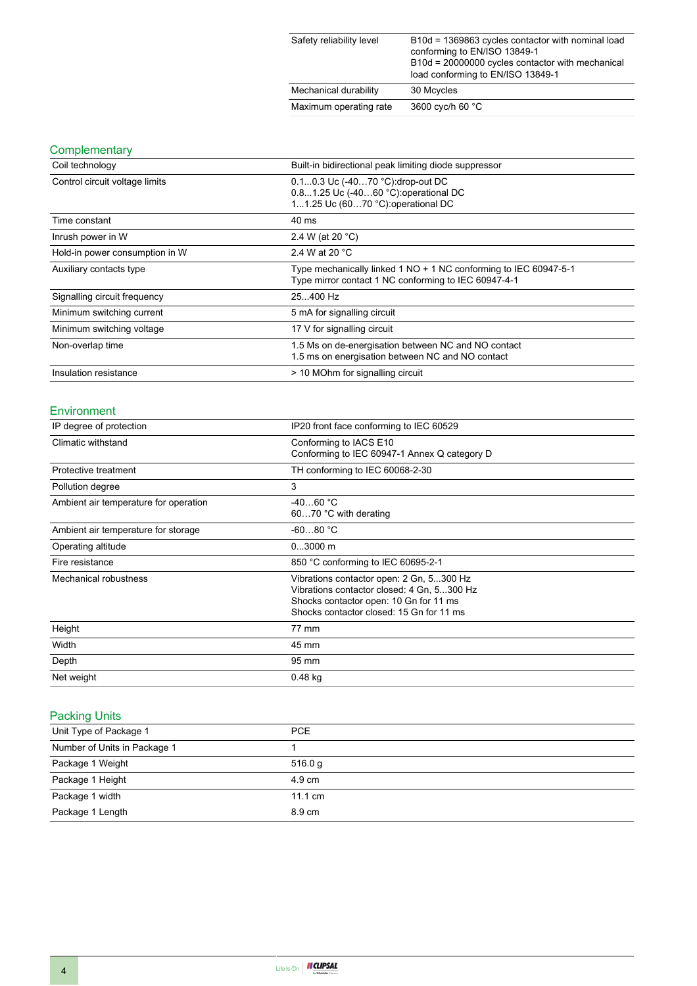| Safety reliability level | B10d = 1369863 cycles contactor with nominal load<br>conforming to EN/ISO 13849-1<br>B10d = 20000000 cycles contactor with mechanical<br>load conforming to EN/ISO 13849-1 |
|--------------------------|----------------------------------------------------------------------------------------------------------------------------------------------------------------------------|
| Mechanical durability    | 30 Mcycles                                                                                                                                                                 |
| Maximum operating rate   | 3600 cyc/h 60 °C                                                                                                                                                           |

### **Complementary**

| Coil technology                | Built-in bidirectional peak limiting diode suppressor                                                                    |
|--------------------------------|--------------------------------------------------------------------------------------------------------------------------|
| Control circuit voltage limits | 0.10.3 Uc (-4070 °C).drop-out DC<br>0.81.25 Uc (-4060 °C): operational DC<br>11.25 Uc (6070 °C): operational DC          |
| Time constant                  | 40 ms                                                                                                                    |
| Inrush power in W              | 2.4 W (at 20 $^{\circ}$ C)                                                                                               |
| Hold-in power consumption in W | 2.4 W at 20 °C                                                                                                           |
| Auxiliary contacts type        | Type mechanically linked 1 NO + 1 NC conforming to IEC 60947-5-1<br>Type mirror contact 1 NC conforming to IEC 60947-4-1 |
| Signalling circuit frequency   | 25400 Hz                                                                                                                 |
| Minimum switching current      | 5 mA for signalling circuit                                                                                              |
| Minimum switching voltage      | 17 V for signalling circuit                                                                                              |
| Non-overlap time               | 1.5 Ms on de-energisation between NC and NO contact<br>1.5 ms on energisation between NC and NO contact                  |
| Insulation resistance          | > 10 MOhm for signalling circuit                                                                                         |

### Environment

| IP degree of protection               | IP20 front face conforming to IEC 60529                                                                                                                                      |
|---------------------------------------|------------------------------------------------------------------------------------------------------------------------------------------------------------------------------|
| Climatic withstand                    | Conforming to IACS E10<br>Conforming to IEC 60947-1 Annex Q category D                                                                                                       |
| Protective treatment                  | TH conforming to IEC 60068-2-30                                                                                                                                              |
| Pollution degree                      | 3                                                                                                                                                                            |
| Ambient air temperature for operation | $-4060 °C$<br>6070 °C with derating                                                                                                                                          |
| Ambient air temperature for storage   | $-6080 °C$                                                                                                                                                                   |
| Operating altitude                    | $03000$ m                                                                                                                                                                    |
| Fire resistance                       | 850 °C conforming to IEC 60695-2-1                                                                                                                                           |
| Mechanical robustness                 | Vibrations contactor open: 2 Gn, 5300 Hz<br>Vibrations contactor closed: 4 Gn, 5300 Hz<br>Shocks contactor open: 10 Gn for 11 ms<br>Shocks contactor closed: 15 Gn for 11 ms |
| Height                                | 77 mm                                                                                                                                                                        |
| Width                                 | 45 mm                                                                                                                                                                        |
| Depth                                 | 95 mm                                                                                                                                                                        |
| Net weight                            | 0.48 kg                                                                                                                                                                      |

### Packing Units

| Unit Type of Package 1       | <b>PCE</b>        |
|------------------------------|-------------------|
| Number of Units in Package 1 |                   |
| Package 1 Weight             | 516.0 g           |
| Package 1 Height             | $4.9 \text{ cm}$  |
| Package 1 width              | $11.1 \text{ cm}$ |
| Package 1 Length             | 8.9 cm            |